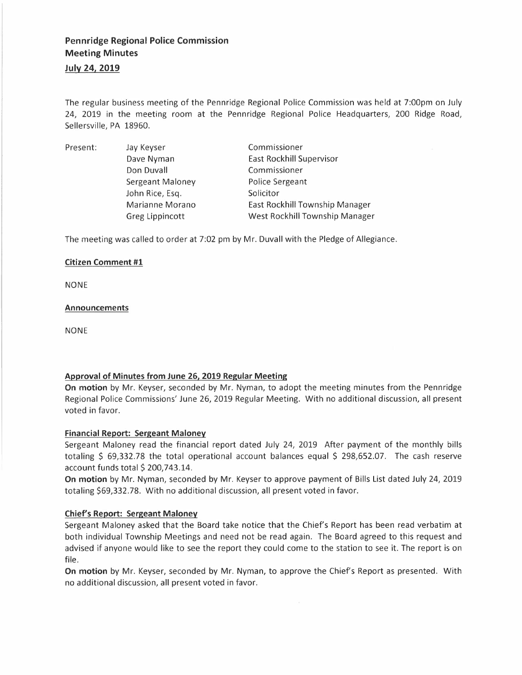# **July 24, 2019**

The regular business meeting of the Pennridge Regional Police Commission was held at 7:00pm on July 24, 2019 in the meeting room at the Pennridge Regional Police Headquarters, 200 Ridge Road, Sellersville, PA 18960.

| Present: | Jay Keyser             | Commissioner                   |
|----------|------------------------|--------------------------------|
|          | Dave Nyman             | East Rockhill Supervisor       |
|          | Don Duvall             | Commissioner                   |
|          | Sergeant Maloney       | Police Sergeant                |
|          | John Rice, Esq.        | Solicitor                      |
|          | Marianne Morano        | East Rockhill Township Manager |
|          | <b>Greg Lippincott</b> | West Rockhill Township Manager |

The meeting was called to order at 7:02 pm by Mr. Duvall with the Pledge of Allegiance.

#### **Citizen Comment #1**

NONE

#### **Announcements**

NONE

# **Approval of Minutes from June 26, 2019 Regular Meeting**

**On motion** by Mr. Keyser, seconded by Mr. Nyman, to adopt the meeting minutes from the Pennridge Regional Police Commissions' June 26, 2019 Regular Meeting. With no additional discussion, all present voted in favor.

# **Financial Report: Sergeant Maloney**

Sergeant Maloney read the financial report dated July 24, 2019 After payment of the monthly bills totaling \$ 69,332.78 the total operational account balances equal \$ 298,652.07. The cash reserve account funds total  $$200,743.14$ .

**On motion** by Mr. Nyman, seconded by Mr. Keyser to approve payment of Bills List dated July 24, 2019 totaling \$69,332.78. With no additional discussion, all present voted in favor.

# **Chief's Report: Sergeant Maloney**

Sergeant Maloney asked that the Board take notice that the Chief's Report has been read verbatim at both individual Township Meetings and need not be read again. The Board agreed to this request and advised if anyone would like to see the report they could come to the station to see it. The report is on file.

**On motion** by Mr. Keyser, seconded by Mr. Nyman, to approve the Chief's Report as presented. With no additional discussion, all present voted in favor.